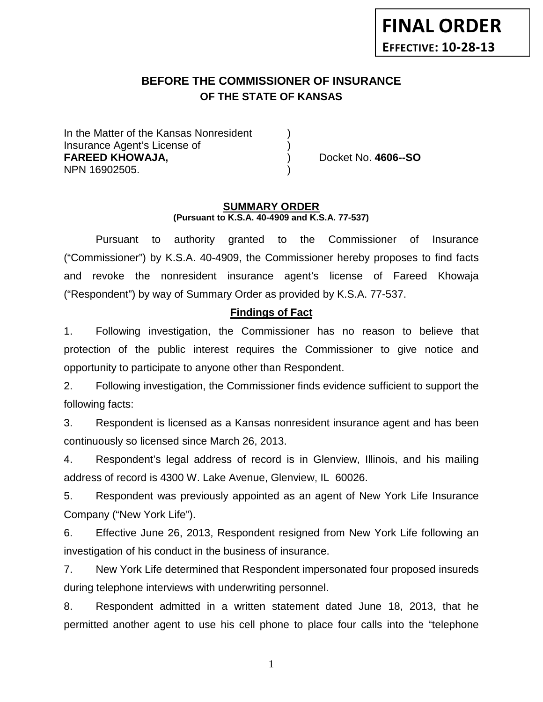# **BEFORE THE COMMISSIONER OF INSURANCE OF THE STATE OF KANSAS**

In the Matter of the Kansas Nonresident Insurance Agent's License of ) **FAREED KHOWAJA,** ) Docket No. **4606--SO** NPN 16902505. )

#### **SUMMARY ORDER (Pursuant to K.S.A. 40-4909 and K.S.A. 77-537)**

Pursuant to authority granted to the Commissioner of Insurance ("Commissioner") by K.S.A. 40-4909, the Commissioner hereby proposes to find facts and revoke the nonresident insurance agent's license of Fareed Khowaja ("Respondent") by way of Summary Order as provided by K.S.A. 77-537.

### **Findings of Fact**

1. Following investigation, the Commissioner has no reason to believe that protection of the public interest requires the Commissioner to give notice and opportunity to participate to anyone other than Respondent.

2. Following investigation, the Commissioner finds evidence sufficient to support the following facts:

3. Respondent is licensed as a Kansas nonresident insurance agent and has been continuously so licensed since March 26, 2013.

4. Respondent's legal address of record is in Glenview, Illinois, and his mailing address of record is 4300 W. Lake Avenue, Glenview, IL 60026.

5. Respondent was previously appointed as an agent of New York Life Insurance Company ("New York Life").

6. Effective June 26, 2013, Respondent resigned from New York Life following an investigation of his conduct in the business of insurance.

7. New York Life determined that Respondent impersonated four proposed insureds during telephone interviews with underwriting personnel.

8. Respondent admitted in a written statement dated June 18, 2013, that he permitted another agent to use his cell phone to place four calls into the "telephone

1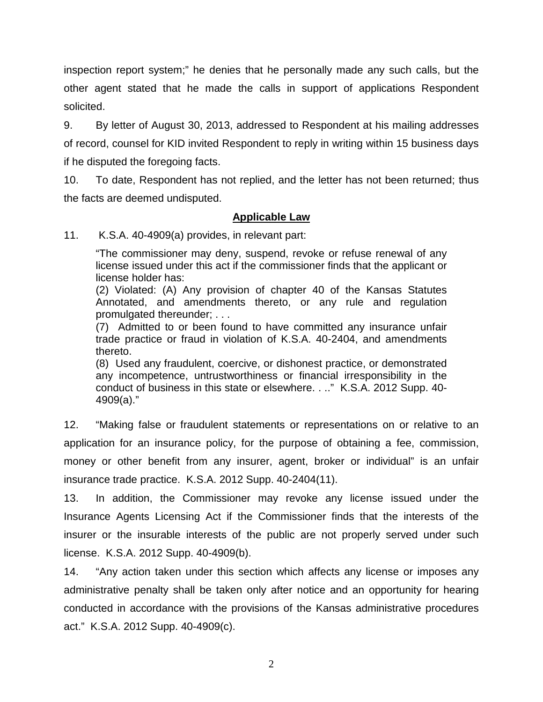inspection report system;" he denies that he personally made any such calls, but the other agent stated that he made the calls in support of applications Respondent solicited.

9. By letter of August 30, 2013, addressed to Respondent at his mailing addresses of record, counsel for KID invited Respondent to reply in writing within 15 business days if he disputed the foregoing facts.

10. To date, Respondent has not replied, and the letter has not been returned; thus the facts are deemed undisputed.

### **Applicable Law**

11. K.S.A. 40-4909(a) provides, in relevant part:

"The commissioner may deny, suspend, revoke or refuse renewal of any license issued under this act if the commissioner finds that the applicant or license holder has:

(2) Violated: (A) Any provision of chapter 40 of the Kansas Statutes Annotated, and amendments thereto, or any rule and regulation promulgated thereunder; . . .

(7) Admitted to or been found to have committed any insurance unfair trade practice or fraud in violation of K.S.A. 40-2404, and amendments thereto.

(8) Used any fraudulent, coercive, or dishonest practice, or demonstrated any incompetence, untrustworthiness or financial irresponsibility in the conduct of business in this state or elsewhere. . .." K.S.A. 2012 Supp. 40- 4909(a)."

12. "Making false or fraudulent statements or representations on or relative to an application for an insurance policy, for the purpose of obtaining a fee, commission, money or other benefit from any insurer, agent, broker or individual" is an unfair insurance trade practice. K.S.A. 2012 Supp. 40-2404(11).

13. In addition, the Commissioner may revoke any license issued under the Insurance Agents Licensing Act if the Commissioner finds that the interests of the insurer or the insurable interests of the public are not properly served under such license. K.S.A. 2012 Supp. 40-4909(b).

14. "Any action taken under this section which affects any license or imposes any administrative penalty shall be taken only after notice and an opportunity for hearing conducted in accordance with the provisions of the Kansas administrative procedures act." K.S.A. 2012 Supp. 40-4909(c).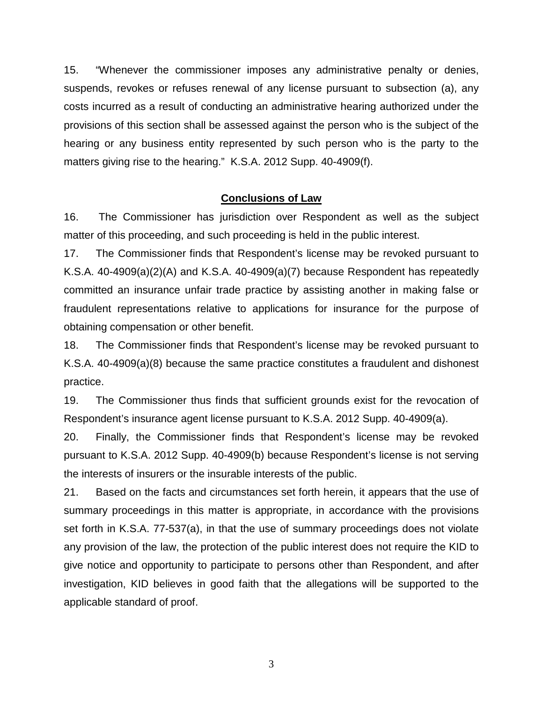15. "Whenever the commissioner imposes any administrative penalty or denies, suspends, revokes or refuses renewal of any license pursuant to subsection (a), any costs incurred as a result of conducting an administrative hearing authorized under the provisions of this section shall be assessed against the person who is the subject of the hearing or any business entity represented by such person who is the party to the matters giving rise to the hearing." K.S.A. 2012 Supp. 40-4909(f).

#### **Conclusions of Law**

16. The Commissioner has jurisdiction over Respondent as well as the subject matter of this proceeding, and such proceeding is held in the public interest.

17. The Commissioner finds that Respondent's license may be revoked pursuant to K.S.A. 40-4909(a)(2)(A) and K.S.A. 40-4909(a)(7) because Respondent has repeatedly committed an insurance unfair trade practice by assisting another in making false or fraudulent representations relative to applications for insurance for the purpose of obtaining compensation or other benefit.

18. The Commissioner finds that Respondent's license may be revoked pursuant to K.S.A. 40-4909(a)(8) because the same practice constitutes a fraudulent and dishonest practice.

19. The Commissioner thus finds that sufficient grounds exist for the revocation of Respondent's insurance agent license pursuant to K.S.A. 2012 Supp. 40-4909(a).

20. Finally, the Commissioner finds that Respondent's license may be revoked pursuant to K.S.A. 2012 Supp. 40-4909(b) because Respondent's license is not serving the interests of insurers or the insurable interests of the public.

21. Based on the facts and circumstances set forth herein, it appears that the use of summary proceedings in this matter is appropriate, in accordance with the provisions set forth in K.S.A. 77-537(a), in that the use of summary proceedings does not violate any provision of the law, the protection of the public interest does not require the KID to give notice and opportunity to participate to persons other than Respondent, and after investigation, KID believes in good faith that the allegations will be supported to the applicable standard of proof.

3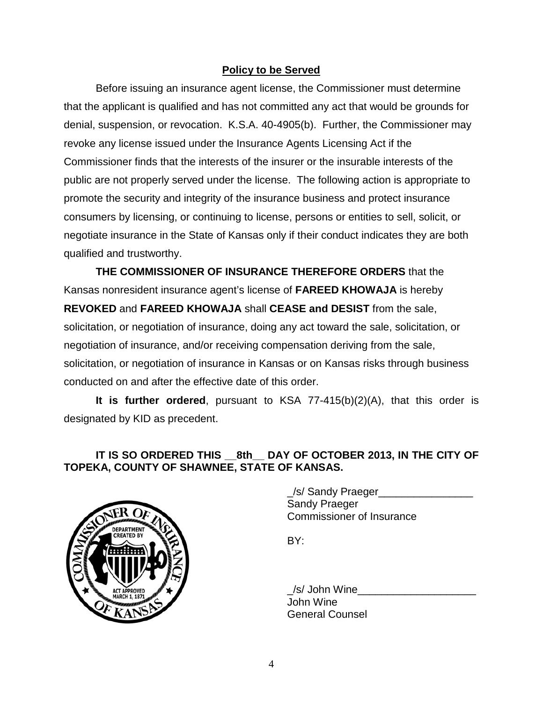## **Policy to be Served**

Before issuing an insurance agent license, the Commissioner must determine that the applicant is qualified and has not committed any act that would be grounds for denial, suspension, or revocation. K.S.A. 40-4905(b). Further, the Commissioner may revoke any license issued under the Insurance Agents Licensing Act if the Commissioner finds that the interests of the insurer or the insurable interests of the public are not properly served under the license. The following action is appropriate to promote the security and integrity of the insurance business and protect insurance consumers by licensing, or continuing to license, persons or entities to sell, solicit, or negotiate insurance in the State of Kansas only if their conduct indicates they are both qualified and trustworthy.

**THE COMMISSIONER OF INSURANCE THEREFORE ORDERS** that the Kansas nonresident insurance agent's license of **FAREED KHOWAJA** is hereby **REVOKED** and **FAREED KHOWAJA** shall **CEASE and DESIST** from the sale, solicitation, or negotiation of insurance, doing any act toward the sale, solicitation, or negotiation of insurance, and/or receiving compensation deriving from the sale, solicitation, or negotiation of insurance in Kansas or on Kansas risks through business conducted on and after the effective date of this order.

**It is further ordered**, pursuant to KSA 77-415(b)(2)(A), that this order is designated by KID as precedent.

# **IT IS SO ORDERED THIS \_\_8th\_\_ DAY OF OCTOBER 2013, IN THE CITY OF TOPEKA, COUNTY OF SHAWNEE, STATE OF KANSAS.**



\_/s/ Sandy Praeger\_\_\_\_\_\_\_\_\_\_\_\_\_\_\_\_ Sandy Praeger Commissioner of Insurance

BY:

 $\_\mathsf{/S}/$  John Wine $\_\_$ John Wine General Counsel